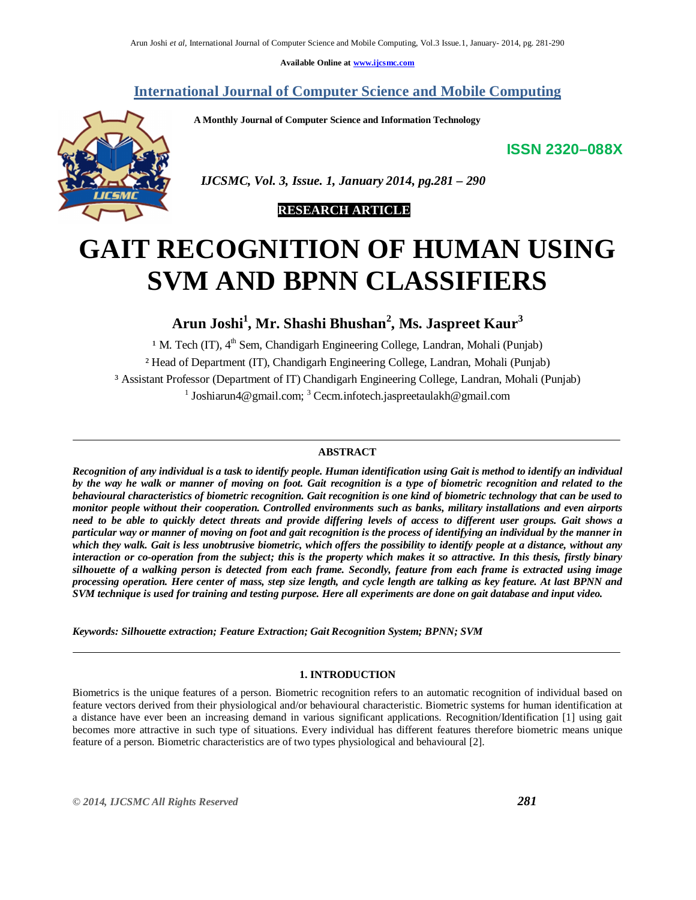**Available Online at www.ijcsmc.com**

# **International Journal of Computer Science and Mobile Computing**

 **A Monthly Journal of Computer Science and Information Technology**

**ISSN 2320–088X**



 *IJCSMC, Vol. 3, Issue. 1, January 2014, pg.281 – 290*



# **GAIT RECOGNITION OF HUMAN USING SVM AND BPNN CLASSIFIERS**

**Arun Joshi<sup>1</sup> , Mr. Shashi Bhushan<sup>2</sup> , Ms. Jaspreet Kaur<sup>3</sup>**

<sup>1</sup> M. Tech (IT),  $4<sup>th</sup>$  Sem, Chandigarh Engineering College, Landran, Mohali (Punjab) ² Head of Department (IT), Chandigarh Engineering College, Landran, Mohali (Punjab) ³ Assistant Professor (Department of IT) Chandigarh Engineering College, Landran, Mohali (Punjab) <sup>1</sup> Joshiarun4@gmail.com; <sup>3</sup> Cecm.infotech.jaspreetaulakh@gmail.com

# **ABSTRACT**

*Recognition of any individual is a task to identify people. Human identification using Gait is method to identify an individual by the way he walk or manner of moving on foot. Gait recognition is a type of biometric recognition and related to the behavioural characteristics of biometric recognition. Gait recognition is one kind of biometric technology that can be used to monitor people without their cooperation. Controlled environments such as banks, military installations and even airports need to be able to quickly detect threats and provide differing levels of access to different user groups. Gait shows a particular way or manner of moving on foot and gait recognition is the process of identifying an individual by the manner in which they walk. Gait is less unobtrusive biometric, which offers the possibility to identify people at a distance, without any interaction or co-operation from the subject; this is the property which makes it so attractive. In this thesis, firstly binary silhouette of a walking person is detected from each frame. Secondly, feature from each frame is extracted using image processing operation. Here center of mass, step size length, and cycle length are talking as key feature. At last BPNN and SVM technique is used for training and testing purpose. Here all experiments are done on gait database and input video.* 

*Keywords: Silhouette extraction; Feature Extraction; Gait Recognition System; BPNN; SVM*

## **1. INTRODUCTION**

Biometrics is the unique features of a person. Biometric recognition refers to an automatic recognition of individual based on feature vectors derived from their physiological and/or behavioural characteristic. Biometric systems for human identification at a distance have ever been an increasing demand in various significant applications. Recognition/Identification [1] using gait becomes more attractive in such type of situations. Every individual has different features therefore biometric means unique feature of a person. Biometric characteristics are of two types physiological and behavioural [2].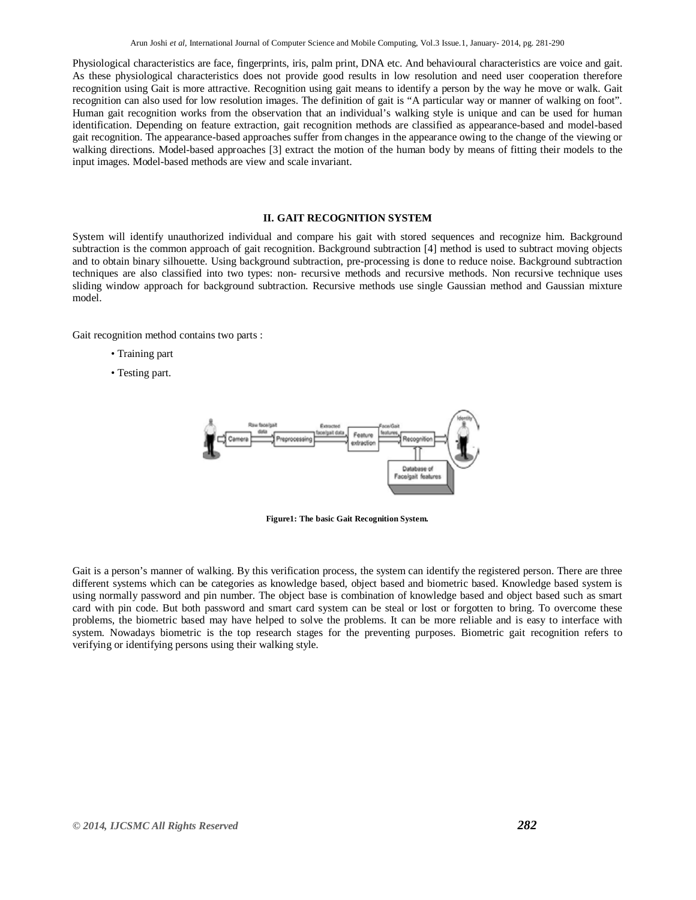Physiological characteristics are face, fingerprints, iris, palm print, DNA etc. And behavioural characteristics are voice and gait. As these physiological characteristics does not provide good results in low resolution and need user cooperation therefore recognition using Gait is more attractive. Recognition using gait means to identify a person by the way he move or walk. Gait recognition can also used for low resolution images. The definition of gait is "A particular way or manner of walking on foot". Human gait recognition works from the observation that an individual's walking style is unique and can be used for human identification. Depending on feature extraction, gait recognition methods are classified as appearance-based and model-based gait recognition. The appearance-based approaches suffer from changes in the appearance owing to the change of the viewing or walking directions. Model-based approaches [3] extract the motion of the human body by means of fitting their models to the input images. Model-based methods are view and scale invariant.

#### **II. GAIT RECOGNITION SYSTEM**

System will identify unauthorized individual and compare his gait with stored sequences and recognize him. Background subtraction is the common approach of gait recognition. Background subtraction [4] method is used to subtract moving objects and to obtain binary silhouette. Using background subtraction, pre-processing is done to reduce noise. Background subtraction techniques are also classified into two types: non- recursive methods and recursive methods. Non recursive technique uses sliding window approach for background subtraction. Recursive methods use single Gaussian method and Gaussian mixture model.

Gait recognition method contains two parts :

- Training part
- Testing part.



**Figure1: The basic Gait Recognition System.**

Gait is a person's manner of walking. By this verification process, the system can identify the registered person. There are three different systems which can be categories as knowledge based, object based and biometric based. Knowledge based system is using normally password and pin number. The object base is combination of knowledge based and object based such as smart card with pin code. But both password and smart card system can be steal or lost or forgotten to bring. To overcome these problems, the biometric based may have helped to solve the problems. It can be more reliable and is easy to interface with system. Nowadays biometric is the top research stages for the preventing purposes. Biometric gait recognition refers to verifying or identifying persons using their walking style.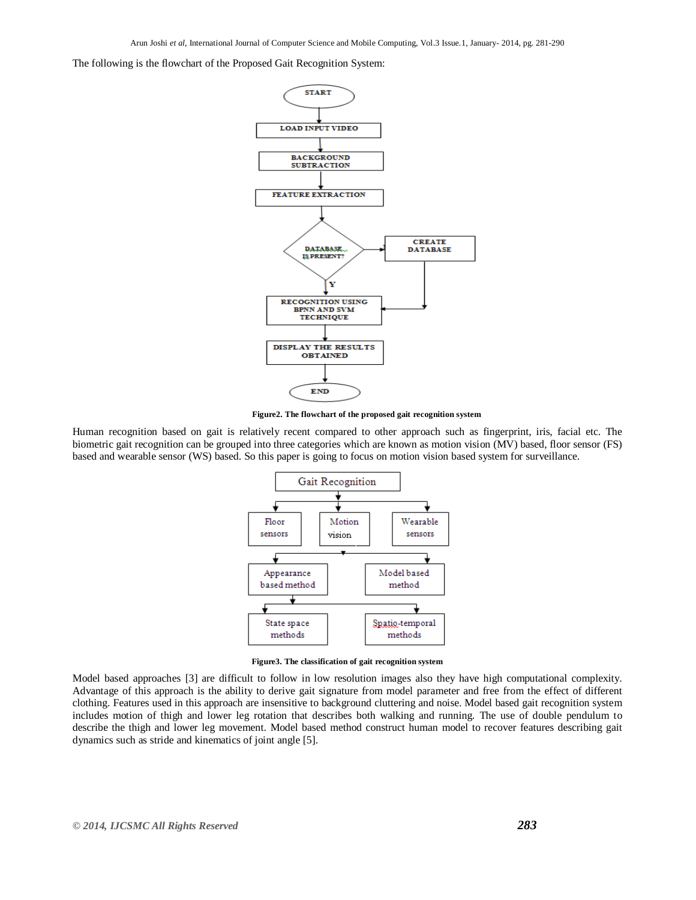The following is the flowchart of the Proposed Gait Recognition System:



**Figure2. The flowchart of the proposed gait recognition system**

Human recognition based on gait is relatively recent compared to other approach such as fingerprint, iris, facial etc. The biometric gait recognition can be grouped into three categories which are known as motion vision (MV) based, floor sensor (FS) based and wearable sensor (WS) based. So this paper is going to focus on motion vision based system for surveillance.



**Figure3. The classification of gait recognition system**

Model based approaches [3] are difficult to follow in low resolution images also they have high computational complexity. Advantage of this approach is the ability to derive gait signature from model parameter and free from the effect of different clothing. Features used in this approach are insensitive to background cluttering and noise. Model based gait recognition system includes motion of thigh and lower leg rotation that describes both walking and running. The use of double pendulum to describe the thigh and lower leg movement. Model based method construct human model to recover features describing gait dynamics such as stride and kinematics of joint angle [5].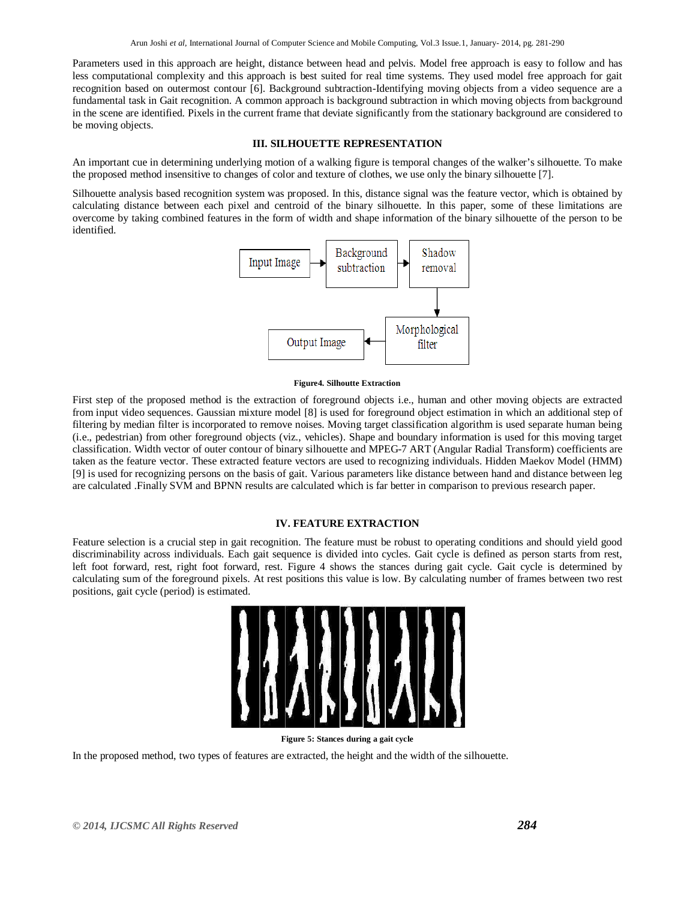Parameters used in this approach are height, distance between head and pelvis. Model free approach is easy to follow and has less computational complexity and this approach is best suited for real time systems. They used model free approach for gait recognition based on outermost contour [6]. Background subtraction-Identifying moving objects from a video sequence are a fundamental task in Gait recognition. A common approach is background subtraction in which moving objects from background in the scene are identified. Pixels in the current frame that deviate significantly from the stationary background are considered to be moving objects.

# **III. SILHOUETTE REPRESENTATION**

An important cue in determining underlying motion of a walking figure is temporal changes of the walker's silhouette. To make the proposed method insensitive to changes of color and texture of clothes, we use only the binary silhouette [7].

Silhouette analysis based recognition system was proposed. In this, distance signal was the feature vector, which is obtained by calculating distance between each pixel and centroid of the binary silhouette. In this paper, some of these limitations are overcome by taking combined features in the form of width and shape information of the binary silhouette of the person to be identified.



#### **Figure4. Silhoutte Extraction**

First step of the proposed method is the extraction of foreground objects i.e., human and other moving objects are extracted from input video sequences. Gaussian mixture model [8] is used for foreground object estimation in which an additional step of filtering by median filter is incorporated to remove noises. Moving target classification algorithm is used separate human being (i.e., pedestrian) from other foreground objects (viz., vehicles). Shape and boundary information is used for this moving target classification. Width vector of outer contour of binary silhouette and MPEG-7 ART (Angular Radial Transform) coefficients are taken as the feature vector. These extracted feature vectors are used to recognizing individuals. Hidden Maekov Model (HMM) [9] is used for recognizing persons on the basis of gait. Various parameters like distance between hand and distance between leg are calculated .Finally SVM and BPNN results are calculated which is far better in comparison to previous research paper.

## **IV. FEATURE EXTRACTION**

Feature selection is a crucial step in gait recognition. The feature must be robust to operating conditions and should yield good discriminability across individuals. Each gait sequence is divided into cycles. Gait cycle is defined as person starts from rest, left foot forward, rest, right foot forward, rest. Figure 4 shows the stances during gait cycle. Gait cycle is determined by calculating sum of the foreground pixels. At rest positions this value is low. By calculating number of frames between two rest positions, gait cycle (period) is estimated.



**Figure 5: Stances during a gait cycle**

In the proposed method, two types of features are extracted, the height and the width of the silhouette.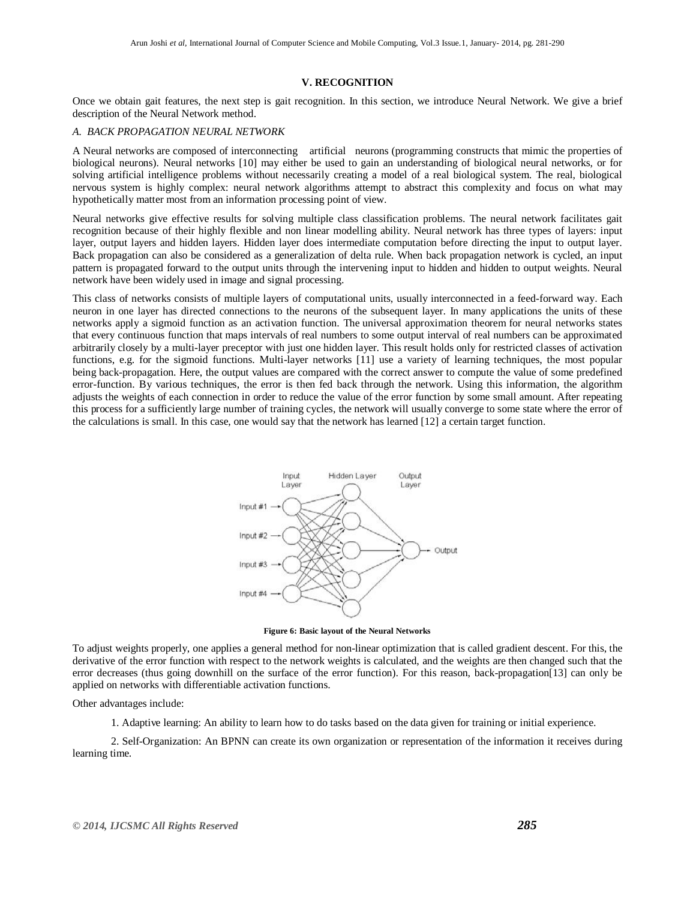#### **V. RECOGNITION**

Once we obtain gait features, the next step is gait recognition. In this section, we introduce Neural Network. We give a brief description of the Neural Network method.

## *A. BACK PROPAGATION NEURAL NETWORK*

A Neural networks are composed of interconnecting artificial neurons (programming constructs that mimic the properties of biological neurons). Neural networks [10] may either be used to gain an understanding of biological neural networks, or for solving artificial intelligence problems without necessarily creating a model of a real biological system. The real, biological nervous system is highly complex: neural network algorithms attempt to abstract this complexity and focus on what may hypothetically matter most from an information processing point of view.

Neural networks give effective results for solving multiple class classification problems. The neural network facilitates gait recognition because of their highly flexible and non linear modelling ability. Neural network has three types of layers: input layer, output layers and hidden layers. Hidden layer does intermediate computation before directing the input to output layer. Back propagation can also be considered as a generalization of delta rule. When back propagation network is cycled, an input pattern is propagated forward to the output units through the intervening input to hidden and hidden to output weights. Neural network have been widely used in image and signal processing.

This class of networks consists of multiple layers of computational units, usually interconnected in a feed-forward way. Each neuron in one layer has directed connections to the neurons of the subsequent layer. In many applications the units of these networks apply a sigmoid function as an activation function. The universal approximation theorem for neural networks states that every continuous function that maps intervals of real numbers to some output interval of real numbers can be approximated arbitrarily closely by a multi-layer preceptor with just one hidden layer. This result holds only for restricted classes of activation functions, e.g. for the sigmoid functions. Multi-layer networks [11] use a variety of learning techniques, the most popular being back-propagation. Here, the output values are compared with the correct answer to compute the value of some predefined error-function. By various techniques, the error is then fed back through the network. Using this information, the algorithm adjusts the weights of each connection in order to reduce the value of the error function by some small amount. After repeating this process for a sufficiently large number of training cycles, the network will usually converge to some state where the error of the calculations is small. In this case, one would say that the network has learned [12] a certain target function.



**Figure 6: Basic layout of the Neural Networks**

To adjust weights properly, one applies a general method for non-linear optimization that is called gradient descent. For this, the derivative of the error function with respect to the network weights is calculated, and the weights are then changed such that the error decreases (thus going downhill on the surface of the error function). For this reason, back-propagation[13] can only be applied on networks with differentiable activation functions.

Other advantages include:

1. Adaptive learning: An ability to learn how to do tasks based on the data given for training or initial experience.

2. Self-Organization: An BPNN can create its own organization or representation of the information it receives during learning time.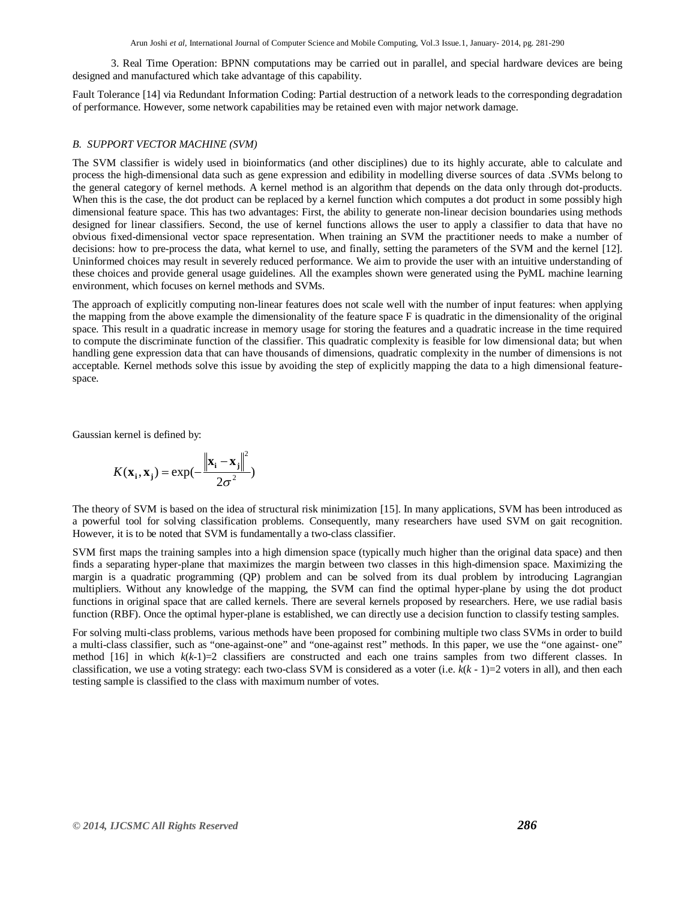Arun Joshi *et al*, International Journal of Computer Science and Mobile Computing, Vol.3 Issue.1, January- 2014, pg. 281-290

3. Real Time Operation: BPNN computations may be carried out in parallel, and special hardware devices are being designed and manufactured which take advantage of this capability.

Fault Tolerance [14] via Redundant Information Coding: Partial destruction of a network leads to the corresponding degradation of performance. However, some network capabilities may be retained even with major network damage.

## *B. SUPPORT VECTOR MACHINE (SVM)*

The SVM classifier is widely used in bioinformatics (and other disciplines) due to its highly accurate, able to calculate and process the high-dimensional data such as gene expression and edibility in modelling diverse sources of data .SVMs belong to the general category of kernel methods. A kernel method is an algorithm that depends on the data only through dot-products. When this is the case, the dot product can be replaced by a kernel function which computes a dot product in some possibly high dimensional feature space. This has two advantages: First, the ability to generate non-linear decision boundaries using methods designed for linear classifiers. Second, the use of kernel functions allows the user to apply a classifier to data that have no obvious fixed-dimensional vector space representation. When training an SVM the practitioner needs to make a number of decisions: how to pre-process the data, what kernel to use, and finally, setting the parameters of the SVM and the kernel [12]. Uninformed choices may result in severely reduced performance. We aim to provide the user with an intuitive understanding of these choices and provide general usage guidelines. All the examples shown were generated using the PyML machine learning environment, which focuses on kernel methods and SVMs.

The approach of explicitly computing non-linear features does not scale well with the number of input features: when applying the mapping from the above example the dimensionality of the feature space F is quadratic in the dimensionality of the original space. This result in a quadratic increase in memory usage for storing the features and a quadratic increase in the time required to compute the discriminate function of the classifier. This quadratic complexity is feasible for low dimensional data; but when handling gene expression data that can have thousands of dimensions, quadratic complexity in the number of dimensions is not acceptable. Kernel methods solve this issue by avoiding the step of explicitly mapping the data to a high dimensional featurespace.

Gaussian kernel is defined by:

$$
K(\mathbf{x}_i, \mathbf{x}_j) = \exp(-\frac{\left\|\mathbf{x}_i - \mathbf{x}_j\right\|^2}{2\sigma^2})
$$

The theory of SVM is based on the idea of structural risk minimization [15]. In many applications, SVM has been introduced as a powerful tool for solving classification problems. Consequently, many researchers have used SVM on gait recognition. However, it is to be noted that SVM is fundamentally a two-class classifier.

SVM first maps the training samples into a high dimension space (typically much higher than the original data space) and then finds a separating hyper-plane that maximizes the margin between two classes in this high-dimension space. Maximizing the margin is a quadratic programming (QP) problem and can be solved from its dual problem by introducing Lagrangian multipliers. Without any knowledge of the mapping, the SVM can find the optimal hyper-plane by using the dot product functions in original space that are called kernels. There are several kernels proposed by researchers. Here, we use radial basis function (RBF). Once the optimal hyper-plane is established, we can directly use a decision function to classify testing samples.

For solving multi-class problems, various methods have been proposed for combining multiple two class SVMs in order to build a multi-class classifier, such as "one-against-one" and "one-against rest" methods. In this paper, we use the "one against- one" method  $[16]$  in which  $k(k-1)=2$  classifiers are constructed and each one trains samples from two different classes. In classification, we use a voting strategy: each two-class SVM is considered as a voter (i.e.  $k(k - 1)=2$  voters in all), and then each testing sample is classified to the class with maximum number of votes.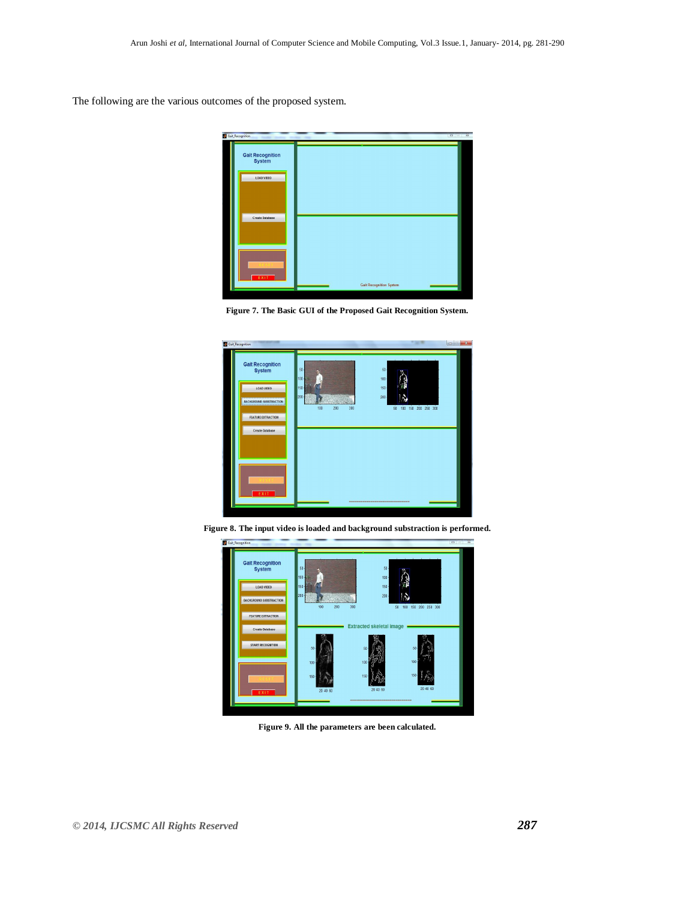The following are the various outcomes of the proposed system.







**Figure 8. The input video is loaded and background substraction is performed.**



**Figure 9. All the parameters are been calculated.**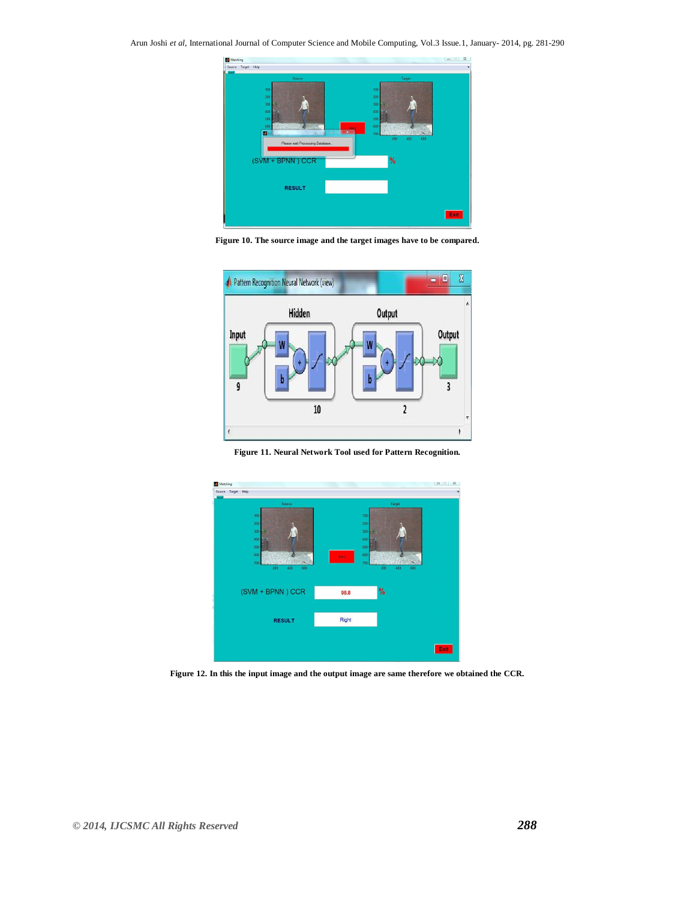

**Figure 10. The source image and the target images have to be compared.**



**Figure 11. Neural Network Tool used for Pattern Recognition.**



**Figure 12. In this the input image and the output image are same therefore we obtained the CCR.**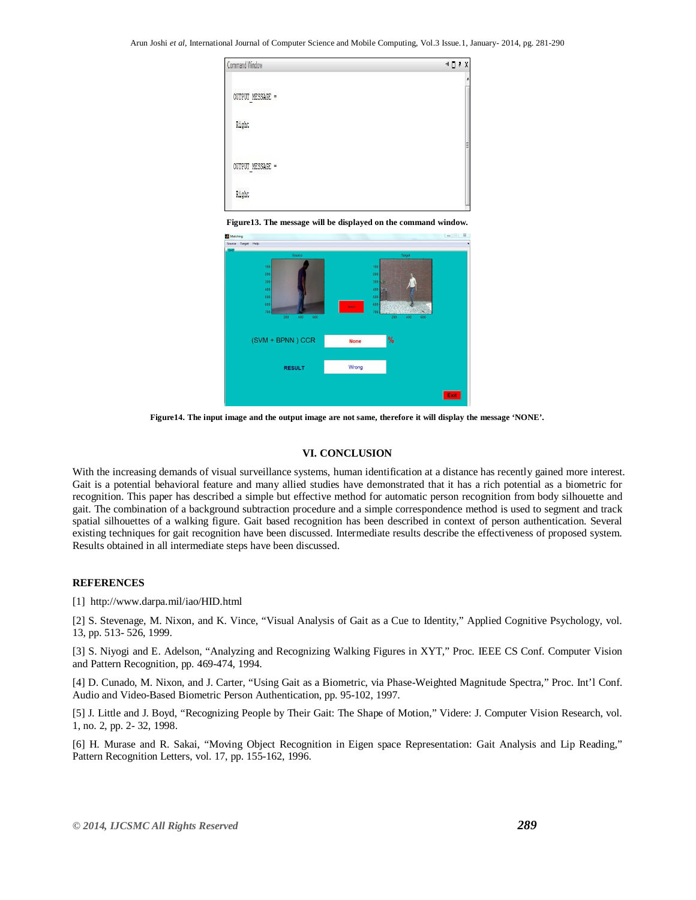| Command Window                         | $H \cup K$ |
|----------------------------------------|------------|
| 00000000 800000000<br>OUTPUT MESSAGE = |            |
| Right                                  |            |
| OUTPUT MESSAGE =<br>1011-1201-002      | Ë          |
| Right                                  |            |

**Figure13. The message will be displayed on the command window.**



**Figure14. The input image and the output image are not same, therefore it will display the message 'NONE'.**

#### **VI. CONCLUSION**

With the increasing demands of visual surveillance systems, human identification at a distance has recently gained more interest. Gait is a potential behavioral feature and many allied studies have demonstrated that it has a rich potential as a biometric for recognition. This paper has described a simple but effective method for automatic person recognition from body silhouette and gait. The combination of a background subtraction procedure and a simple correspondence method is used to segment and track spatial silhouettes of a walking figure. Gait based recognition has been described in context of person authentication. Several existing techniques for gait recognition have been discussed. Intermediate results describe the effectiveness of proposed system. Results obtained in all intermediate steps have been discussed.

#### **REFERENCES**

[1] http://www.darpa.mil/iao/HID.html

[2] S. Stevenage, M. Nixon, and K. Vince, "Visual Analysis of Gait as a Cue to Identity," Applied Cognitive Psychology, vol. 13, pp. 513- 526, 1999.

[3] S. Niyogi and E. Adelson, "Analyzing and Recognizing Walking Figures in XYT," Proc. IEEE CS Conf. Computer Vision and Pattern Recognition, pp. 469-474, 1994.

[4] D. Cunado, M. Nixon, and J. Carter, "Using Gait as a Biometric, via Phase-Weighted Magnitude Spectra," Proc. Int'l Conf. Audio and Video-Based Biometric Person Authentication, pp. 95-102, 1997.

[5] J. Little and J. Boyd, "Recognizing People by Their Gait: The Shape of Motion," Videre: J. Computer Vision Research, vol. 1, no. 2, pp. 2- 32, 1998.

[6] H. Murase and R. Sakai, "Moving Object Recognition in Eigen space Representation: Gait Analysis and Lip Reading," Pattern Recognition Letters, vol. 17, pp. 155-162, 1996.